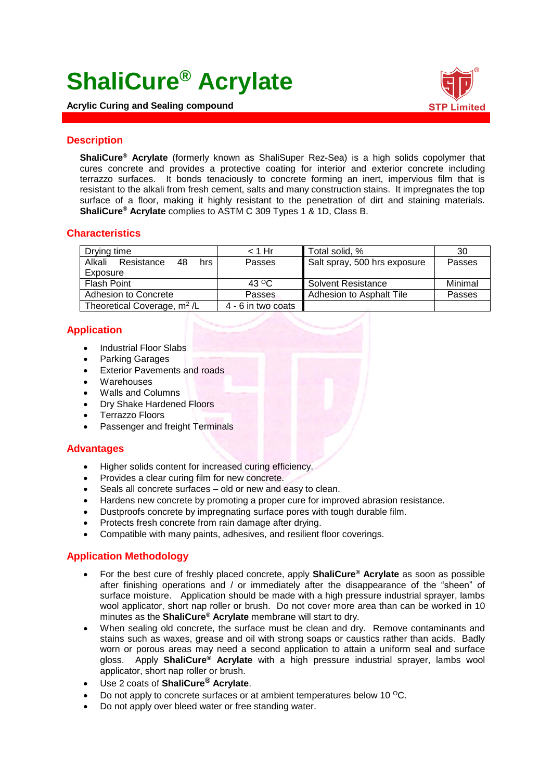# **ShaliCure® Acrylate**

**Acrylic Curing and Sealing compound**



### **Description**

**ShaliCure® Acrylate** (formerly known as ShaliSuper Rez-Sea) is a high solids copolymer that cures concrete and provides a protective coating for interior and exterior concrete including terrazzo surfaces. It bonds tenaciously to concrete forming an inert, impervious film that is resistant to the alkali from fresh cement, salts and many construction stains. It impregnates the top surface of a floor, making it highly resistant to the penetration of dirt and staining materials. **ShaliCure® Acrylate** complies to ASTM C 309 Types 1 & 1D, Class B.

# **Characteristics**

| Drying time                             | $<$ 1 Hr                | Total solid, %               | 30      |
|-----------------------------------------|-------------------------|------------------------------|---------|
| Alkali<br>Resistance<br>48<br>hrs       | Passes                  | Salt spray, 500 hrs exposure | Passes  |
| Exposure                                |                         |                              |         |
| Flash Point                             | 43 $\mathrm{^{\circ}C}$ | <b>Solvent Resistance</b>    | Minimal |
| Adhesion to Concrete                    | Passes                  | Adhesion to Asphalt Tile     | Passes  |
| Theoretical Coverage, m <sup>2</sup> /L | 4 - 6 in two coats      |                              |         |

# **Application**

- Industrial Floor Slabs
- Parking Garages
- Exterior Pavements and roads
- Warehouses
- Walls and Columns
- Dry Shake Hardened Floors
- Terrazzo Floors
- Passenger and freight Terminals

#### **Advantages**

- Higher solids content for increased curing efficiency.
- Provides a clear curing film for new concrete.
- Seals all concrete surfaces old or new and easy to clean.
- Hardens new concrete by promoting a proper cure for improved abrasion resistance.
- Dustproofs concrete by impregnating surface pores with tough durable film.
- Protects fresh concrete from rain damage after drying.
- Compatible with many paints, adhesives, and resilient floor coverings.

# **Application Methodology**

- For the best cure of freshly placed concrete, apply **ShaliCure® Acrylate** as soon as possible after finishing operations and / or immediately after the disappearance of the "sheen" of surface moisture. Application should be made with a high pressure industrial sprayer, lambs wool applicator, short nap roller or brush. Do not cover more area than can be worked in 10 minutes as the **ShaliCure® Acrylate** membrane will start to dry.
- When sealing old concrete, the surface must be clean and dry. Remove contaminants and stains such as waxes, grease and oil with strong soaps or caustics rather than acids. Badly worn or porous areas may need a second application to attain a uniform seal and surface gloss. Apply **ShaliCure® Acrylate** with a high pressure industrial sprayer, lambs wool applicator, short nap roller or brush.
- Use 2 coats of **ShaliCure® Acrylate**.
- Do not apply to concrete surfaces or at ambient temperatures below 10 °C.
- Do not apply over bleed water or free standing water.